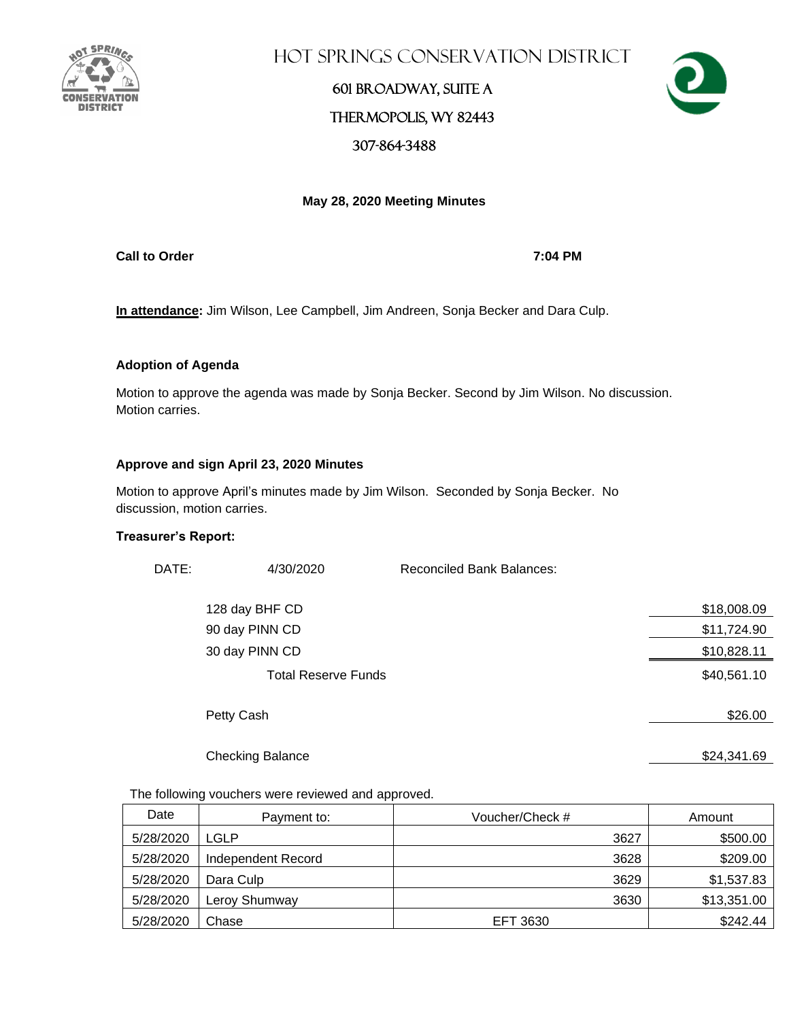

Hot Springs Conservation District

### 601 Broadway, Suite A Thermopolis, WY 82443 307-864-3488



### **May 28, 2020 Meeting Minutes**

**Call to Order 7:04 PM**

**In attendance:** Jim Wilson, Lee Campbell, Jim Andreen, Sonja Becker and Dara Culp.

### **Adoption of Agenda**

Motion to approve the agenda was made by Sonja Becker. Second by Jim Wilson. No discussion. Motion carries.

#### **Approve and sign April 23, 2020 Minutes**

Motion to approve April's minutes made by Jim Wilson. Seconded by Sonja Becker. No discussion, motion carries.

#### **Treasurer's Report:**

| DATE: | 4/30/2020                  | <b>Reconciled Bank Balances:</b> |             |
|-------|----------------------------|----------------------------------|-------------|
|       | 128 day BHF CD             |                                  | \$18,008.09 |
|       | 90 day PINN CD             |                                  | \$11,724.90 |
|       | 30 day PINN CD             |                                  | \$10,828.11 |
|       | <b>Total Reserve Funds</b> |                                  | \$40,561.10 |
|       | Petty Cash                 |                                  | \$26.00     |
|       | <b>Checking Balance</b>    |                                  | \$24,341.69 |

#### The following vouchers were reviewed and approved.

| Date      | Payment to:        | Voucher/Check # | Amount      |
|-----------|--------------------|-----------------|-------------|
| 5/28/2020 | LGLP               | 3627            | \$500.00    |
| 5/28/2020 | Independent Record | 3628            | \$209.00    |
| 5/28/2020 | Dara Culp          | 3629            | \$1,537.83  |
| 5/28/2020 | Leroy Shumway      | 3630            | \$13,351.00 |
| 5/28/2020 | Chase              | EFT 3630        | \$242.44    |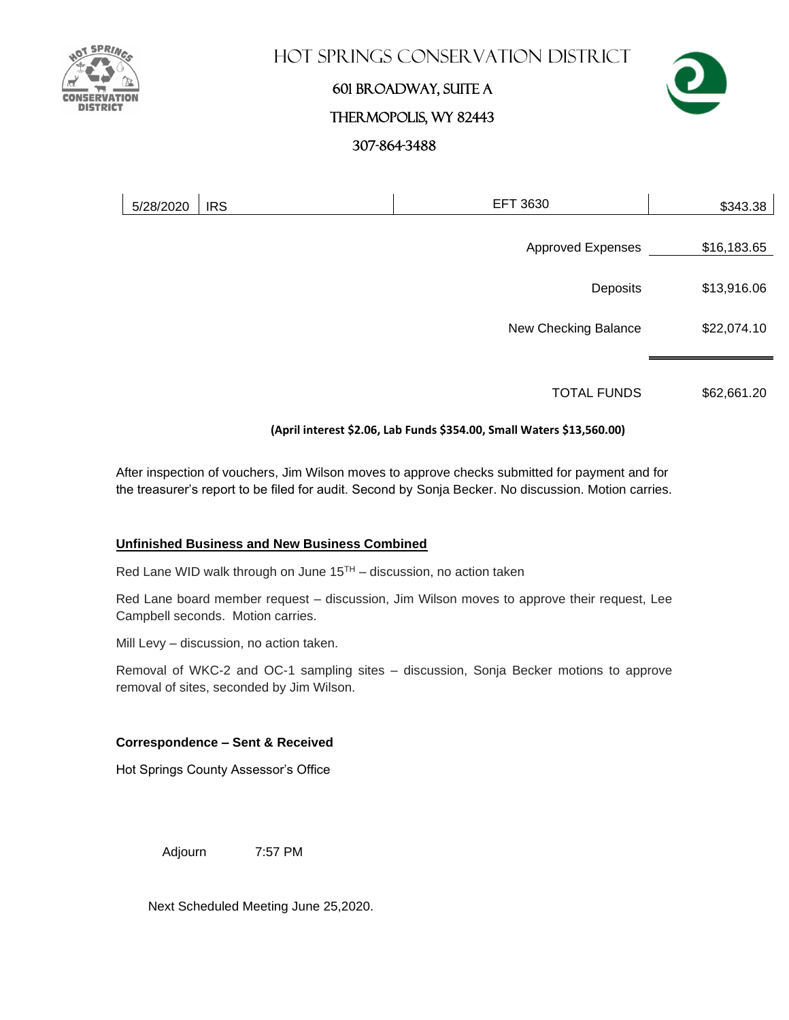

### **HOT SPRINGS CONSERVATION DISTRICT**

# 601 Broadway, Suite A Thermopolis, WY 82443 307-864-3488



| <b>EFT 3630</b><br>5/28/2020<br><b>IRS</b> | \$343.38                |
|--------------------------------------------|-------------------------|
| <b>Approved Expenses</b>                   | \$16,183.65             |
|                                            | \$13,916.06<br>Deposits |
| New Checking Balance                       | \$22,074.10             |

TOTAL FUNDS \$62,661.20

### **(April interest \$2.06, Lab Funds \$354.00, Small Waters \$13,560.00)**

After inspection of vouchers, Jim Wilson moves to approve checks submitted for payment and for the treasurer's report to be filed for audit. Second by Sonja Becker. No discussion. Motion carries.

### **Unfinished Business and New Business Combined**

Red Lane WID walk through on June  $15<sup>TH</sup> -$  discussion, no action taken

Red Lane board member request – discussion, Jim Wilson moves to approve their request, Lee Campbell seconds. Motion carries.

Mill Levy – discussion, no action taken.

Removal of WKC-2 and OC-1 sampling sites – discussion, Sonja Becker motions to approve removal of sites, seconded by Jim Wilson.

### **Correspondence – Sent & Received**

Hot Springs County Assessor's Office

Adjourn 7:57 PM

Next Scheduled Meeting June 25,2020.